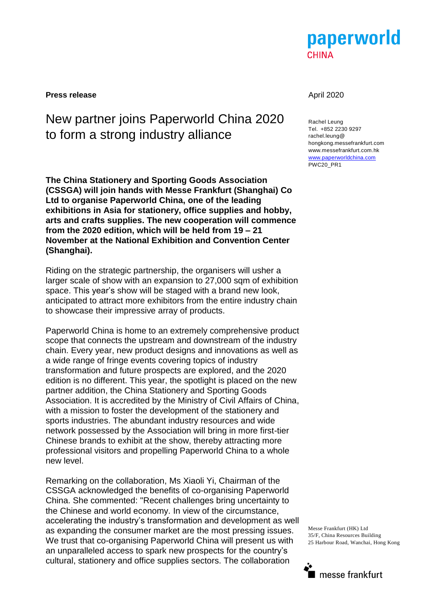

**Press release** April 2020

# New partner joins Paperworld China 2020 to form a strong industry alliance

**The China Stationery and Sporting Goods Association (CSSGA) will join hands with Messe Frankfurt (Shanghai) Co Ltd to organise Paperworld China, one of the leading exhibitions in Asia for stationery, office supplies and hobby, arts and crafts supplies. The new cooperation will commence from the 2020 edition, which will be held from 19 – 21 November at the National Exhibition and Convention Center (Shanghai).** 

Riding on the strategic partnership, the organisers will usher a larger scale of show with an expansion to 27,000 sqm of exhibition space. This year's show will be staged with a brand new look, anticipated to attract more exhibitors from the entire industry chain to showcase their impressive array of products.

Paperworld China is home to an extremely comprehensive product scope that connects the upstream and downstream of the industry chain. Every year, new product designs and innovations as well as a wide range of fringe events covering topics of industry transformation and future prospects are explored, and the 2020 edition is no different. This year, the spotlight is placed on the new partner addition, the China Stationery and Sporting Goods Association. It is accredited by the Ministry of Civil Affairs of China, with a mission to foster the development of the stationery and sports industries. The abundant industry resources and wide network possessed by the Association will bring in more first-tier Chinese brands to exhibit at the show, thereby attracting more professional visitors and propelling Paperworld China to a whole new level.

Remarking on the collaboration, Ms Xiaoli Yi, Chairman of the CSSGA acknowledged the benefits of co-organising Paperworld China. She commented: "Recent challenges bring uncertainty to the Chinese and world economy. In view of the circumstance, accelerating the industry's transformation and development as well as expanding the consumer market are the most pressing issues. We trust that co-organising Paperworld China will present us with an unparalleled access to spark new prospects for the country's cultural, stationery and office supplies sectors. The collaboration

Rachel Leung Tel. +852 2230 9297 rachel.leung@ hongkong.messefrankfurt.com www.messefrankfurt.com.hk www.paperworldchina.com PWC20\_PR1

Messe Frankfurt (HK) Ltd 35/F, China Resources Building 25 Harbour Road, Wanchai, Hong Kong

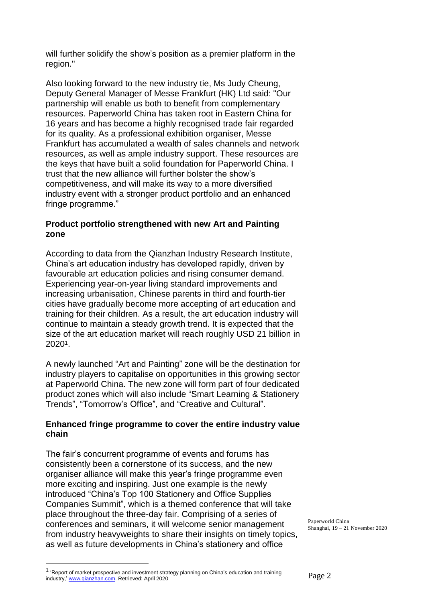will further solidify the show's position as a premier platform in the region."

Also looking forward to the new industry tie, Ms Judy Cheung, Deputy General Manager of Messe Frankfurt (HK) Ltd said: "Our partnership will enable us both to benefit from complementary resources. Paperworld China has taken root in Eastern China for 16 years and has become a highly recognised trade fair regarded for its quality. As a professional exhibition organiser, Messe Frankfurt has accumulated a wealth of sales channels and network resources, as well as ample industry support. These resources are the keys that have built a solid foundation for Paperworld China. I trust that the new alliance will further bolster the show's competitiveness, and will make its way to a more diversified industry event with a stronger product portfolio and an enhanced fringe programme."

## **Product portfolio strengthened with new Art and Painting zone**

According to data from the Qianzhan Industry Research Institute, China's art education industry has developed rapidly, driven by favourable art education policies and rising consumer demand. Experiencing year-on-year living standard improvements and increasing urbanisation, Chinese parents in third and fourth-tier cities have gradually become more accepting of art education and training for their children. As a result, the art education industry will continue to maintain a steady growth trend. It is expected that the size of the art education market will reach roughly USD 21 billion in 20201.

A newly launched "Art and Painting" zone will be the destination for industry players to capitalise on opportunities in this growing sector at Paperworld China. The new zone will form part of four dedicated product zones which will also include "Smart Learning & Stationery Trends", "Tomorrow's Office", and "Creative and Cultural".

## **Enhanced fringe programme to cover the entire industry value chain**

The fair's concurrent programme of events and forums has consistently been a cornerstone of its success, and the new organiser alliance will make this year's fringe programme even more exciting and inspiring. Just one example is the newly introduced "China's Top 100 Stationery and Office Supplies Companies Summit", which is a themed conference that will take place throughout the three-day fair. Comprising of a series of conferences and seminars, it will welcome senior management from industry heavyweights to share their insights on timely topics, as well as future developments in China's stationery and office

Paperworld China Shanghai, 19 – 21 November 2020

 $\overline{a}$ 

<sup>&</sup>lt;sup>1</sup> 'Report of market prospective and investment strategy planning on China's education and training industry,' [www.qianzhan.com.](http://www.qianzhan.com/) Retrieved: April 2020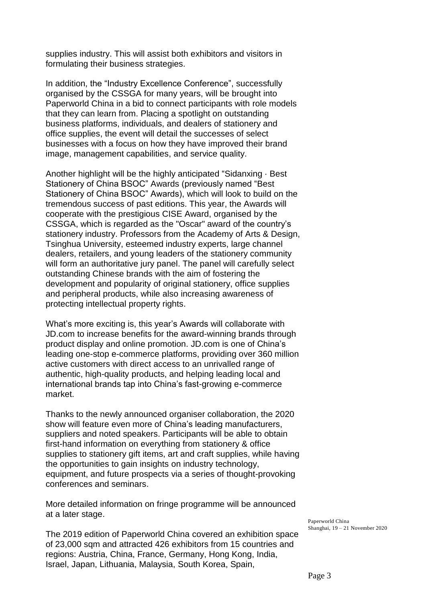supplies industry. This will assist both exhibitors and visitors in formulating their business strategies.

In addition, the "Industry Excellence Conference", successfully organised by the CSSGA for many years, will be brought into Paperworld China in a bid to connect participants with role models that they can learn from. Placing a spotlight on outstanding business platforms, individuals, and dealers of stationery and office supplies, the event will detail the successes of select businesses with a focus on how they have improved their brand image, management capabilities, and service quality.

Another highlight will be the highly anticipated "Sidanxing · Best Stationery of China BSOC" Awards (previously named "Best Stationery of China BSOC" Awards), which will look to build on the tremendous success of past editions. This year, the Awards will cooperate with the prestigious CISE Award, organised by the CSSGA, which is regarded as the "Oscar" award of the country's stationery industry. Professors from the Academy of Arts & Design, Tsinghua University, esteemed industry experts, large channel dealers, retailers, and young leaders of the stationery community will form an authoritative jury panel. The panel will carefully select outstanding Chinese brands with the aim of fostering the development and popularity of original stationery, office supplies and peripheral products, while also increasing awareness of protecting intellectual property rights.

What's more exciting is, this year's Awards will collaborate with JD.com to increase benefits for the award-winning brands through product display and online promotion. JD.com is one of China's leading one-stop e-commerce platforms, providing over 360 million active customers with direct access to an unrivalled range of authentic, high-quality products, and helping leading local and international brands tap into China's fast-growing e-commerce market.

Thanks to the newly announced organiser collaboration, the 2020 show will feature even more of China's leading manufacturers, suppliers and noted speakers. Participants will be able to obtain first-hand information on everything from stationery & office supplies to stationery gift items, art and craft supplies, while having the opportunities to gain insights on industry technology, equipment, and future prospects via a series of thought-provoking conferences and seminars.

More detailed information on fringe programme will be announced at a later stage.

The 2019 edition of Paperworld China covered an exhibition space of 23,000 sqm and attracted 426 exhibitors from 15 countries and regions: Austria, China, France, Germany, Hong Kong, India, Israel, Japan, Lithuania, Malaysia, South Korea, Spain,

Paperworld China Shanghai, 19 – 21 November 2020